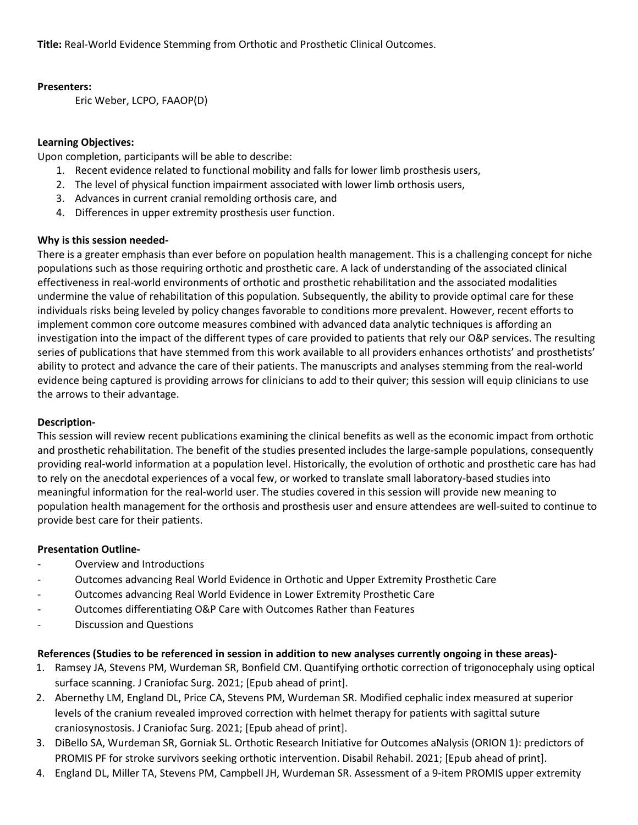**Title:** Real-World Evidence Stemming from Orthotic and Prosthetic Clinical Outcomes.

## **Presenters:**

Eric Weber, LCPO, FAAOP(D)

# **Learning Objectives:**

Upon completion, participants will be able to describe:

- 1. Recent evidence related to functional mobility and falls for lower limb prosthesis users,
- 2. The level of physical function impairment associated with lower limb orthosis users,
- 3. Advances in current cranial remolding orthosis care, and
- 4. Differences in upper extremity prosthesis user function.

## **Why is this session needed-**

There is a greater emphasis than ever before on population health management. This is a challenging concept for niche populations such as those requiring orthotic and prosthetic care. A lack of understanding of the associated clinical effectiveness in real-world environments of orthotic and prosthetic rehabilitation and the associated modalities undermine the value of rehabilitation of this population. Subsequently, the ability to provide optimal care for these individuals risks being leveled by policy changes favorable to conditions more prevalent. However, recent efforts to implement common core outcome measures combined with advanced data analytic techniques is affording an investigation into the impact of the different types of care provided to patients that rely our O&P services. The resulting series of publications that have stemmed from this work available to all providers enhances orthotists' and prosthetists' ability to protect and advance the care of their patients. The manuscripts and analyses stemming from the real-world evidence being captured is providing arrows for clinicians to add to their quiver; this session will equip clinicians to use the arrows to their advantage.

## **Description-**

This session will review recent publications examining the clinical benefits as well as the economic impact from orthotic and prosthetic rehabilitation. The benefit of the studies presented includes the large-sample populations, consequently providing real-world information at a population level. Historically, the evolution of orthotic and prosthetic care has had to rely on the anecdotal experiences of a vocal few, or worked to translate small laboratory-based studies into meaningful information for the real-world user. The studies covered in this session will provide new meaning to population health management for the orthosis and prosthesis user and ensure attendees are well-suited to continue to provide best care for their patients.

## **Presentation Outline-**

- Overview and Introductions
- Outcomes advancing Real World Evidence in Orthotic and Upper Extremity Prosthetic Care
- Outcomes advancing Real World Evidence in Lower Extremity Prosthetic Care
- Outcomes differentiating O&P Care with Outcomes Rather than Features
- Discussion and Questions

## **References (Studies to be referenced in session in addition to new analyses currently ongoing in these areas)-**

- 1. Ramsey JA, Stevens PM, Wurdeman SR, Bonfield CM. Quantifying orthotic correction of trigonocephaly using optical surface scanning. J Craniofac Surg. 2021; [Epub ahead of print].
- 2. Abernethy LM, England DL, Price CA, Stevens PM, Wurdeman SR. Modified cephalic index measured at superior levels of the cranium revealed improved correction with helmet therapy for patients with sagittal suture craniosynostosis. J Craniofac Surg. 2021; [Epub ahead of print].
- 3. DiBello SA, Wurdeman SR, Gorniak SL. Orthotic Research Initiative for Outcomes aNalysis (ORION 1): predictors of PROMIS PF for stroke survivors seeking orthotic intervention. Disabil Rehabil. 2021; [Epub ahead of print].
- 4. England DL, Miller TA, Stevens PM, Campbell JH, Wurdeman SR. Assessment of a 9-item PROMIS upper extremity